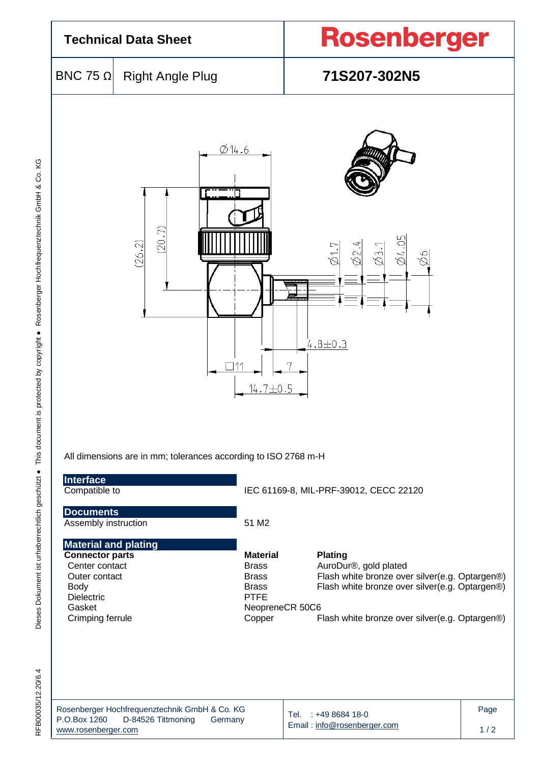| <b>Technical Data Sheet</b>                                                                                                                         |                                                                                      |                                                                                                             | Rosenberger                                                                                                                                                                                   |             |  |  |  |
|-----------------------------------------------------------------------------------------------------------------------------------------------------|--------------------------------------------------------------------------------------|-------------------------------------------------------------------------------------------------------------|-----------------------------------------------------------------------------------------------------------------------------------------------------------------------------------------------|-------------|--|--|--|
| BNC 75 Ω                                                                                                                                            | <b>Right Angle Plug</b>                                                              |                                                                                                             | 71S207-302N5                                                                                                                                                                                  |             |  |  |  |
|                                                                                                                                                     | Ŋ<br>20.<br>(26.2)<br>All dimensions are in mm; tolerances according to ISO 2768 m-H | Ø14.6<br>14.7±0.5                                                                                           | $\underline{\emptyset4.05}$<br>Ø2.4<br>$\varnothing$ 1.7<br>$\frac{1}{2}$<br>Ю<br>Ø<br>$4.8 \pm 0.3$                                                                                          |             |  |  |  |
| Interface<br>Compatible to                                                                                                                          |                                                                                      |                                                                                                             | IEC 61169-8, MIL-PRF-39012, CECC 22120                                                                                                                                                        |             |  |  |  |
| <b>Documents</b><br>Assembly instruction                                                                                                            |                                                                                      | 51 M2                                                                                                       |                                                                                                                                                                                               |             |  |  |  |
| <b>Material and plating</b><br><b>Connector parts</b><br>Center contact<br>Outer contact<br><b>Body</b><br>Dielectric<br>Gasket<br>Crimping ferrule |                                                                                      | <b>Material</b><br><b>Brass</b><br><b>Brass</b><br><b>Brass</b><br><b>PTFE</b><br>NeopreneCR 50C6<br>Copper | <b>Plating</b><br>AuroDur®, gold plated<br>Flash white bronze over silver(e.g. Optargen®)<br>Flash white bronze over silver(e.g. Optargen®)<br>Flash white bronze over silver(e.g. Optargen®) |             |  |  |  |
| P.O.Box 1260<br>www.rosenberger.com                                                                                                                 | Rosenberger Hochfrequenztechnik GmbH & Co. KG<br>D-84526 Tittmoning                  | Tel.<br>Germany                                                                                             | : +49 8684 18-0<br>Email: info@rosenberger.com                                                                                                                                                | Page<br>1/2 |  |  |  |